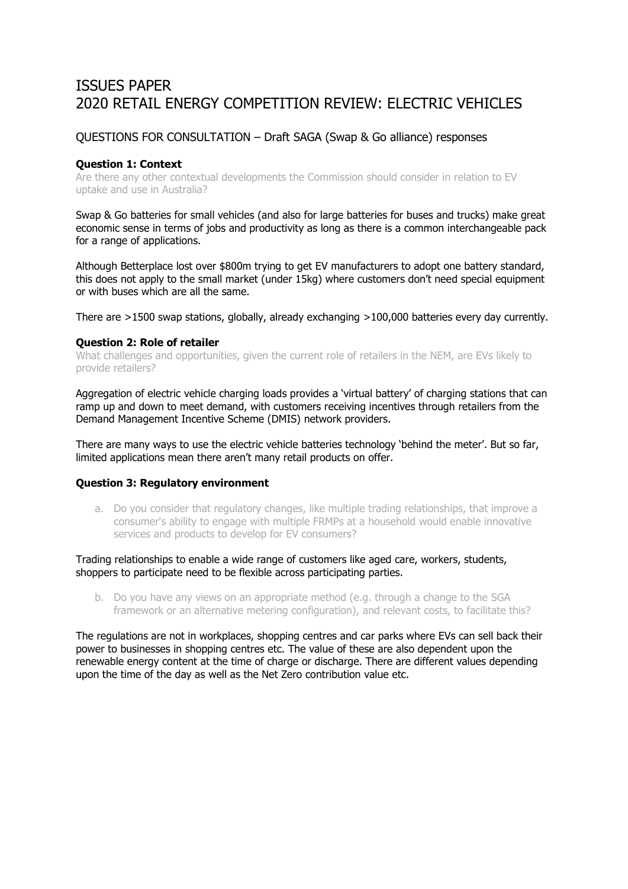# ISSUES PAPER 2020 RETAIL ENFRGY COMPETITION REVIEW: ELECTRIC VEHICLES

# QUESTIONS FOR CONSULTATION – Draft SAGA (Swap & Go alliance) responses

## **Question 1: Context**

Are there any other contextual developments the Commission should consider in relation to EV uptake and use in Australia?

Swap & Go batteries for small vehicles (and also for large batteries for buses and trucks) make great economic sense in terms of jobs and productivity as long as there is a common interchangeable pack for a range of applications.

Although Betterplace lost over \$800m trying to get EV manufacturers to adopt one battery standard, this does not apply to the small market (under 15kg) where customers don't need special equipment or with buses which are all the same.

There are >1500 swap stations, globally, already exchanging >100,000 batteries every day currently.

#### **Question 2: Role of retailer**

What challenges and opportunities, given the current role of retailers in the NEM, are EVs likely to provide retailers?

Aggregation of electric vehicle charging loads provides a 'virtual battery' of charging stations that can ramp up and down to meet demand, with customers receiving incentives through retailers from the Demand Management Incentive Scheme (DMIS) network providers.

There are many ways to use the electric vehicle batteries technology 'behind the meter'. But so far, limited applications mean there aren't many retail products on offer.

### **Question 3: Regulatory environment**

a. Do you consider that regulatory changes, like multiple trading relationships, that improve a consumer's ability to engage with multiple FRMPs at a household would enable innovative services and products to develop for EV consumers?

Trading relationships to enable a wide range of customers like aged care, workers, students, shoppers to participate need to be flexible across participating parties.

b. Do you have any views on an appropriate method (e.g. through a change to the SGA framework or an alternative metering configuration), and relevant costs, to facilitate this?

The regulations are not in workplaces, shopping centres and car parks where EVs can sell back their power to businesses in shopping centres etc. The value of these are also dependent upon the renewable energy content at the time of charge or discharge. There are different values depending upon the time of the day as well as the Net Zero contribution value etc.